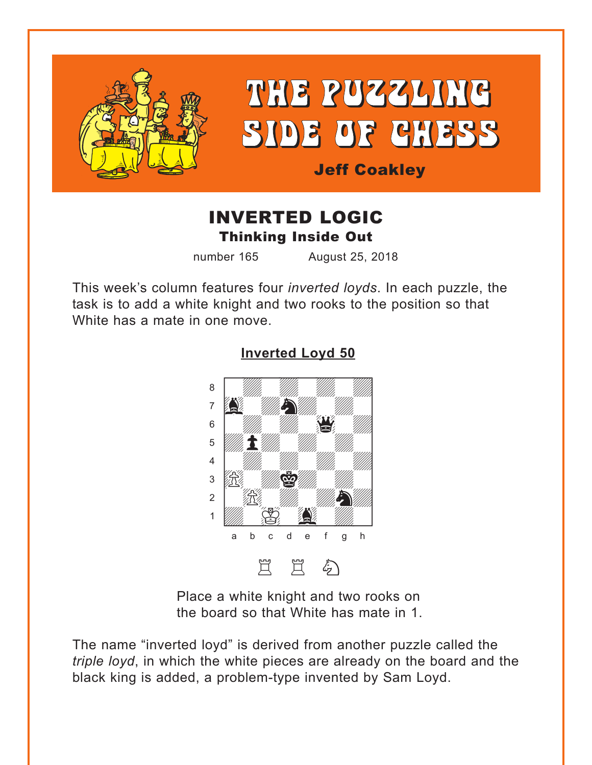<span id="page-0-0"></span>

# THE PUZZLING SIDE OF CHESS

## Jeff Coakley

# INVERTED LOGIC Thinking Inside Out

number 165 August 25, 2018

This week's column features four *inverted loyds*. In each puzzle, the task is to add a white knight and two rooks to the position so that White has a mate in one move.



#### **[Inverted Loyd 50](#page-4-0)**

Place a white knight and two rooks on the board so that White has mate in 1.

The name "inverted loyd" is derived from another puzzle called the *triple loyd*, in which the white pieces are already on the board and the black king is added, a problem-type invented by Sam Loyd.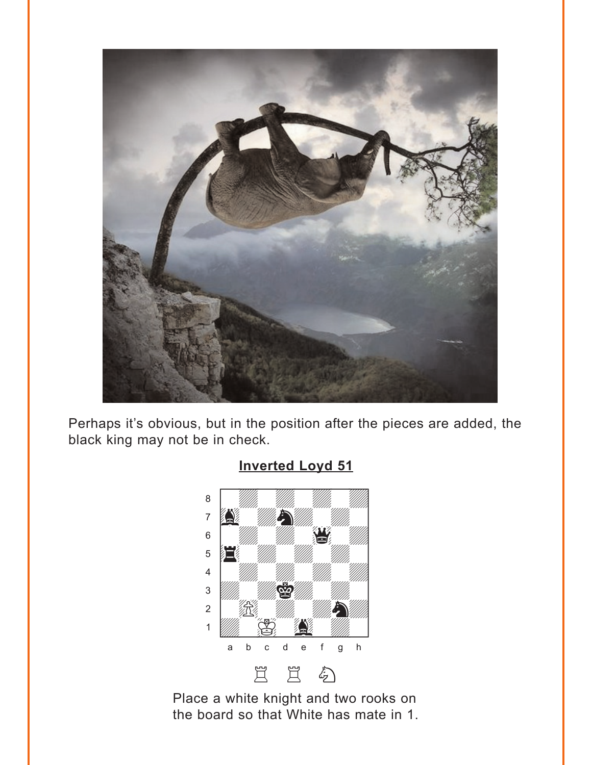<span id="page-1-0"></span>

Perhaps it's obvious, but in the position after the pieces are added, the black king may not be in check.



## Place a white knight and two rooks on the board so that White has mate in 1.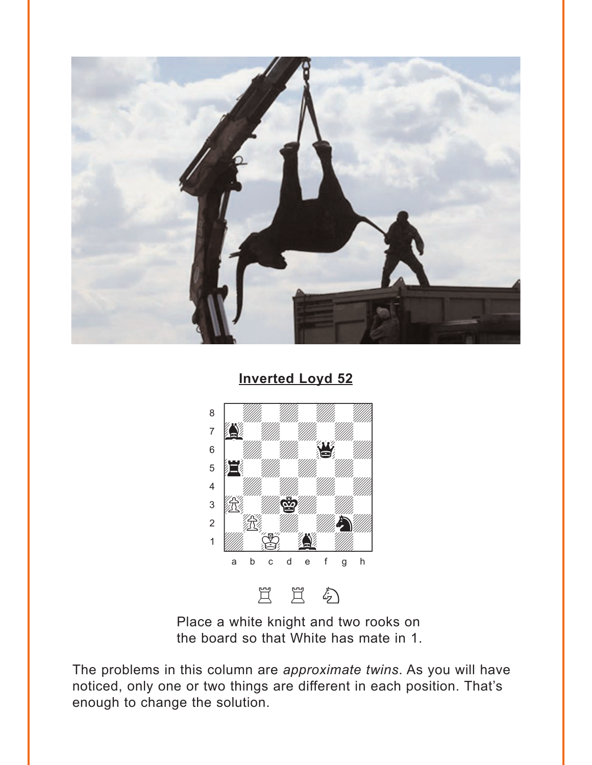<span id="page-2-0"></span>

**Inverted Loyd 52** 



Place a white knight and two rooks on the board so that White has mate in 1.

The problems in this column are approximate twins. As you will have noticed, only one or two things are different in each position. That's enough to change the solution.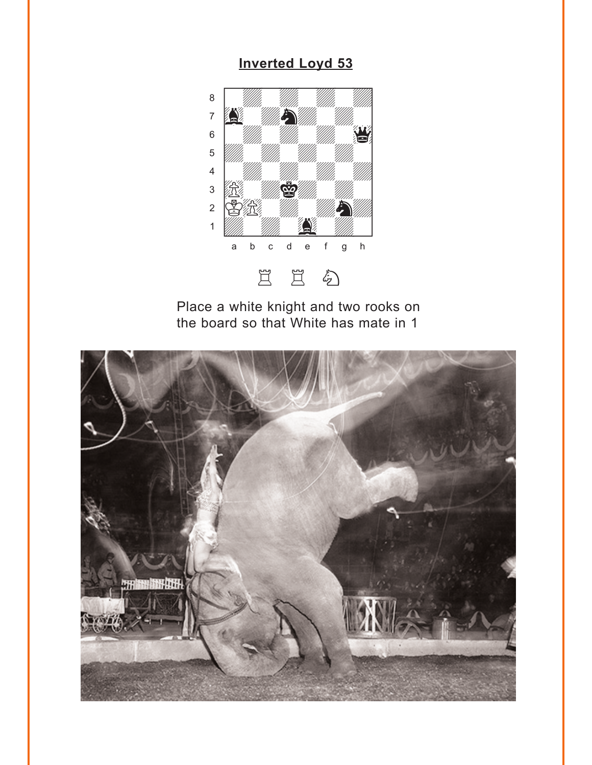## **Inverted Loyd 53**

<span id="page-3-0"></span>

Place a white knight and two rooks on the board so that White has mate in 1

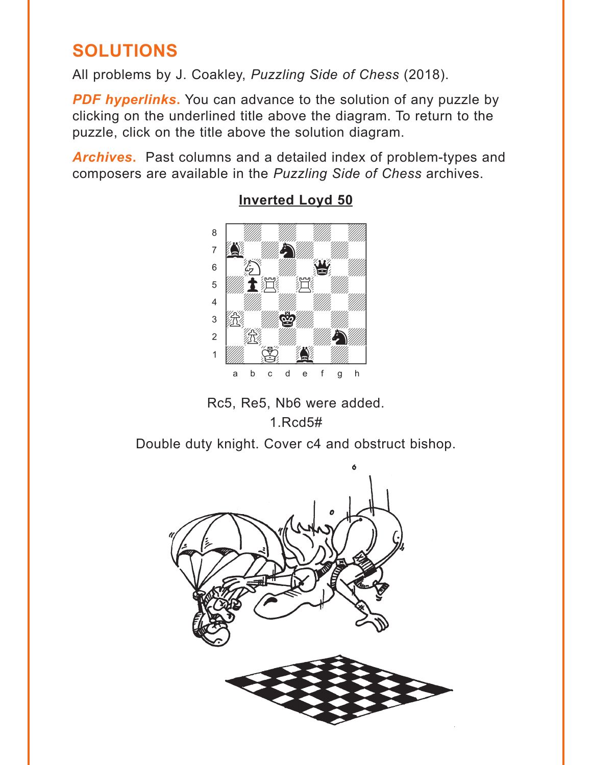# <span id="page-4-0"></span>**SOLUTIONS**

All problems by J. Coakley, Puzzling Side of Chess (2018).

PDF hyperlinks. You can advance to the solution of any puzzle by clicking on the underlined title above the diagram. To return to the puzzle, click on the title above the solution diagram.

Archives. Past columns and a detailed index of problem-types and composers are available in the Puzzling Side of Chess archives.



### **Inverted Loyd 50**

Rc5, Re5, Nb6 were added.  $1.$ Rcd $5#$ 

Double duty knight. Cover c4 and obstruct bishop.

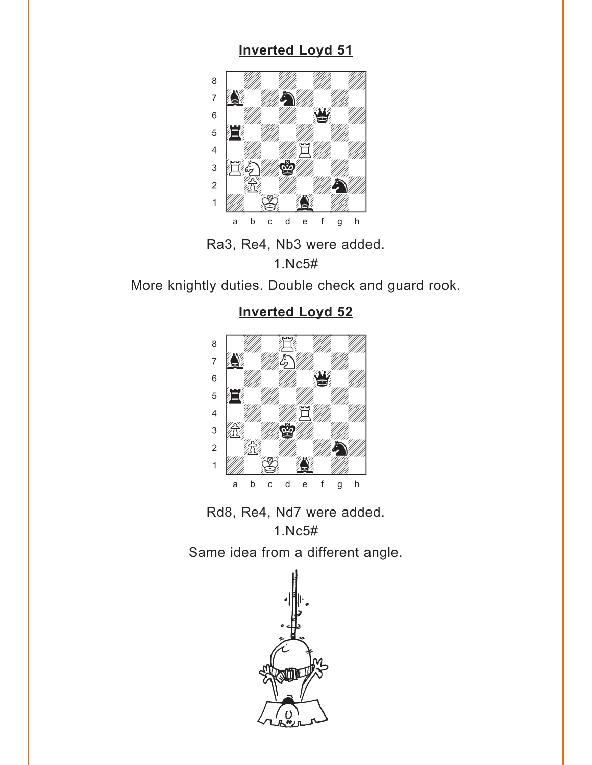## **[Inverted Loyd 51](#page-1-0)**

<span id="page-5-0"></span>

Ra3, Re4, Nb3 were added. 1.Nc5#

More knightly duties. Double check and guard rook.

## where  $\frac{1}{2}$  is the set of  $\frac{1}{2}$  $\bullet$  with  $\mathbb{Z}$  with  $\mathbb{Z}$  $\overline{a}$ agwa $\overline{a}$  $\mathbb{S}$  when  $\mathbb{S}$ Þ4wdwdwdw] 4 | *William William William William William William William William William William William William William William W*  $\frac{1}{\mathbb{E}}$  where  $\frac{1}{\mathbb{E}}$  $\sim$  12  $\%$  10  $\%$  10  $\%$  $\frac{1}{2}$   $\frac{1}{2}$   $\frac{1}{2}$   $\frac{1}{2}$   $\frac{1}{2}$   $\frac{1}{2}$   $\frac{1}{2}$   $\frac{1}{2}$   $\frac{1}{2}$   $\frac{1}{2}$   $\frac{1}{2}$   $\frac{1}{2}$   $\frac{1}{2}$   $\frac{1}{2}$   $\frac{1}{2}$   $\frac{1}{2}$   $\frac{1}{2}$   $\frac{1}{2}$   $\frac{1}{2}$   $\frac{1}{2}$   $\frac{1}{2}$   $\frac{1}{2}$  a b c d e f g h

Rd8, Re4, Nd7 were added.

1.Nc5# Same idea from a different angle.



## **[Inverted Loyd 52](#page-2-0)**